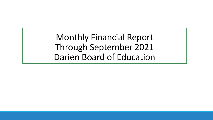Monthly Financial Report Through September 2021 Darien Board of Education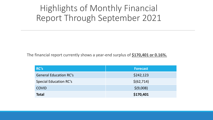## Highlights of Monthly Financial Report Through September 2021

The financial report currently shows a year-end surplus of **\$170,401 or 0.16%.**

| RC's                          | <b>Forecast</b> |
|-------------------------------|-----------------|
| <b>General Education RC's</b> | \$242,123       |
| <b>Special Education RC's</b> | \$(62, 714)     |
| <b>COVID</b>                  | \$(9,008)       |
| <b>Total</b>                  | \$170,401       |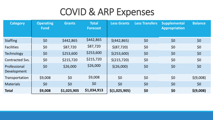# COVID & ARP Expenses

| <b>Category</b>             | <b>Operating</b><br><b>Fund</b> | <b>Grants</b> | <b>Total</b><br><b>Forecast</b> | <b>Less Grants</b> | <b>Less Transfers</b> | <b>Supplemental</b><br><b>Appropriation</b> | <b>Balance</b> |
|-----------------------------|---------------------------------|---------------|---------------------------------|--------------------|-----------------------|---------------------------------------------|----------------|
| <b>Staffing</b>             | \$0                             | \$442,865     | \$442,865                       | \$ (442, 865)      | \$0                   | \$0                                         | \$0            |
| <b>Facilities</b>           | \$0                             | \$87,720      | \$87,720                        | \$ (87, 720)       | \$0                   | \$0                                         | \$0            |
| <b>Technology</b>           | \$0                             | \$253,600     | \$253,600                       | \$(253,600)        | \$0                   | \$0                                         | \$0            |
| <b>Contracted Svs.</b>      | \$0                             | \$215,720     | \$215,720                       | \$(215,720)        | \$0                   | \$0                                         | \$0            |
| Professional<br>Development | \$0                             | \$26,000      | \$26,000                        | \$(26,000)         | \$0                   | \$0                                         | \$0            |
| Transportation              | \$9,008                         | \$0           | \$9,008                         | \$0                | \$0                   | \$0                                         | \$ (9,008)     |
| <b>Materials</b>            | \$0                             | \$0           | \$0                             | \$0                | \$0                   | \$0                                         | \$0            |
| <b>Total</b>                | \$9,008                         | \$1,025,905   | \$1,034,913                     | \$(1,025,905)      | \$0                   | \$0                                         | \$(9,008)      |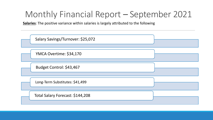**Salaries**: The positive variance within salaries is largely attributed to the following

| Salary Savings/Turnover: \$25,072 |  |
|-----------------------------------|--|
| YMCA Overtime: \$34,170           |  |
| Budget Control: \$43,467          |  |
| Long-Term Substitutes: \$41,499   |  |
| Total Salary Forecast: \$144,208  |  |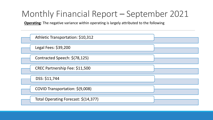**Operating**: The negative variance within operating is largely attributed to the following

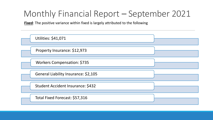**Fixed**: The positive variance within fixed is largely attributed to the following

| <b>Utilities: \$41,071</b>           |  |
|--------------------------------------|--|
| Property Insurance: \$12,973         |  |
| Workers Compensation: \$735          |  |
| General Liability Insurance: \$2,105 |  |
| Student Accident Insurance: \$432    |  |
| Total Fixed Forecast: \$57,316       |  |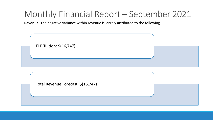**Revenue**: The negative variance within revenue is largely attributed to the following

| ELP Tuition: \$(16,747)            |  |
|------------------------------------|--|
| Total Revenue Forecast: \$(16,747) |  |